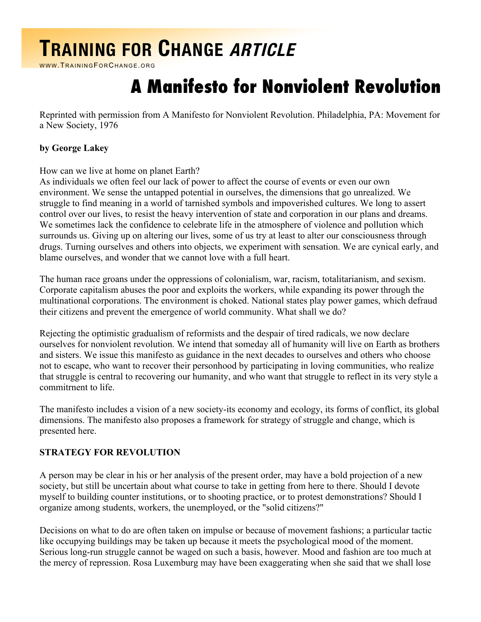# **TRAINING FOR CHANGE ARTICLE**

WWW.TRAININGFORCHANGE.ORG

# **A Manifesto for Nonviolent Revolution**

Reprinted with permission from A Manifesto for Nonviolent Revolution. Philadelphia, PA: Movement for a New Society, 1976

### **by George Lakey**

How can we live at home on planet Earth?

As individuals we often feel our lack of power to affect the course of events or even our own environment. We sense the untapped potential in ourselves, the dimensions that go unrealized. We struggle to find meaning in a world of tarnished symbols and impoverished cultures. We long to assert control over our lives, to resist the heavy intervention of state and corporation in our plans and dreams. We sometimes lack the confidence to celebrate life in the atmosphere of violence and pollution which surrounds us. Giving up on altering our lives, some of us try at least to alter our consciousness through drugs. Turning ourselves and others into objects, we experiment with sensation. We are cynical early, and blame ourselves, and wonder that we cannot love with a full heart.

The human race groans under the oppressions of colonialism, war, racism, totalitarianism, and sexism. Corporate capitalism abuses the poor and exploits the workers, while expanding its power through the multinational corporations. The environment is choked. National states play power games, which defraud their citizens and prevent the emergence of world community. What shall we do?

Rejecting the optimistic gradualism of reformists and the despair of tired radicals, we now declare ourselves for nonviolent revolution. We intend that someday all of humanity will live on Earth as brothers and sisters. We issue this manifesto as guidance in the next decades to ourselves and others who choose not to escape, who want to recover their personhood by participating in loving communities, who realize that struggle is central to recovering our humanity, and who want that struggle to reflect in its very style a commitrnent to life.

The manifesto includes a vision of a new society-its economy and ecology, its forms of conflict, its global dimensions. The manifesto also proposes a framework for strategy of struggle and change, which is presented here.

#### **STRATEGY FOR REVOLUTION**

A person may be clear in his or her analysis of the present order, may have a bold projection of a new society, but still be uncertain about what course to take in getting from here to there. Should I devote myself to building counter institutions, or to shooting practice, or to protest demonstrations? Should I organize among students, workers, the unemployed, or the "solid citizens?"

Decisions on what to do are often taken on impulse or because of movement fashions; a particular tactic like occupying buildings may be taken up because it meets the psychological mood of the moment. Serious long-run struggle cannot be waged on such a basis, however. Mood and fashion are too much at the mercy of repression. Rosa Luxemburg may have been exaggerating when she said that we shall lose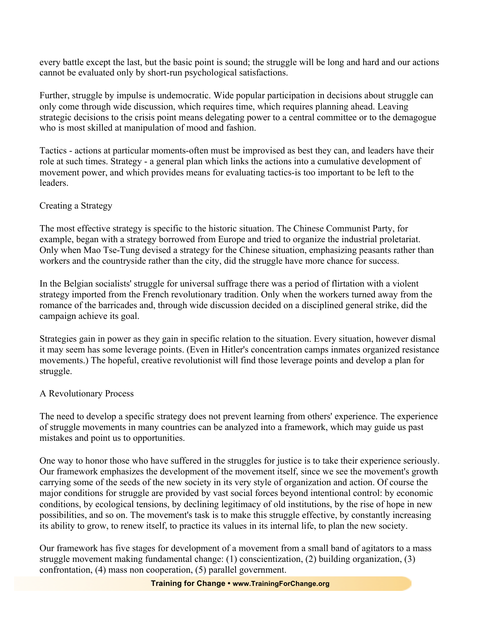every battle except the last, but the basic point is sound; the struggle will be long and hard and our actions cannot be evaluated only by short-run psychological satisfactions.

Further, struggle by impulse is undemocratic. Wide popular participation in decisions about struggle can only come through wide discussion, which requires time, which requires planning ahead. Leaving strategic decisions to the crisis point means delegating power to a central committee or to the demagogue who is most skilled at manipulation of mood and fashion.

Tactics - actions at particular moments-often must be improvised as best they can, and leaders have their role at such times. Strategy - a general plan which links the actions into a cumulative development of movement power, and which provides means for evaluating tactics-is too important to be left to the leaders.

#### Creating a Strategy

The most effective strategy is specific to the historic situation. The Chinese Communist Party, for example, began with a strategy borrowed from Europe and tried to organize the industrial proletariat. Only when Mao Tse-Tung devised a strategy for the Chinese situation, emphasizing peasants rather than workers and the countryside rather than the city, did the struggle have more chance for success.

In the Belgian socialists' struggle for universal suffrage there was a period of flirtation with a violent strategy imported from the French revolutionary tradition. Only when the workers turned away from the romance of the barricades and, through wide discussion decided on a disciplined general strike, did the campaign achieve its goal.

Strategies gain in power as they gain in specific relation to the situation. Every situation, however dismal it may seem has some leverage points. (Even in Hitler's concentration camps inmates organized resistance movements.) The hopeful, creative revolutionist will find those leverage points and develop a plan for struggle.

#### A Revolutionary Process

The need to develop a specific strategy does not prevent learning from others' experience. The experience of struggle movements in many countries can be analyzed into a framework, which may guide us past mistakes and point us to opportunities.

One way to honor those who have suffered in the struggles for justice is to take their experience seriously. Our framework emphasizes the development of the movement itself, since we see the movement's growth carrying some of the seeds of the new society in its very style of organization and action. Of course the major conditions for struggle are provided by vast social forces beyond intentional control: by economic conditions, by ecological tensions, by declining legitimacy of old institutions, by the rise of hope in new possibilities, and so on. The movement's task is to make this struggle effective, by constantly increasing its ability to grow, to renew itself, to practice its values in its internal life, to plan the new society.

Our framework has five stages for development of a movement from a small band of agitators to a mass struggle movement making fundamental change: (1) conscientization, (2) building organization, (3) confrontation, (4) mass non cooperation, (5) parallel government.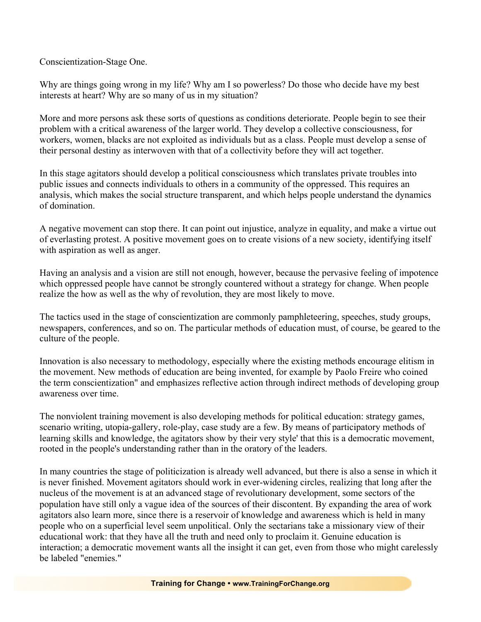Conscientization-Stage One.

Why are things going wrong in my life? Why am I so powerless? Do those who decide have my best interests at heart? Why are so many of us in my situation?

More and more persons ask these sorts of questions as conditions deteriorate. People begin to see their problem with a critical awareness of the larger world. They develop a collective consciousness, for workers, women, blacks are not exploited as individuals but as a class. People must develop a sense of their personal destiny as interwoven with that of a collectivity before they will act together.

In this stage agitators should develop a political consciousness which translates private troubles into public issues and connects individuals to others in a community of the oppressed. This requires an analysis, which makes the social structure transparent, and which helps people understand the dynamics of domination.

A negative movement can stop there. It can point out injustice, analyze in equality, and make a virtue out of everlasting protest. A positive movement goes on to create visions of a new society, identifying itself with aspiration as well as anger.

Having an analysis and a vision are still not enough, however, because the pervasive feeling of impotence which oppressed people have cannot be strongly countered without a strategy for change. When people realize the how as well as the why of revolution, they are most likely to move.

The tactics used in the stage of conscientization are commonly pamphleteering, speeches, study groups, newspapers, conferences, and so on. The particular methods of education must, of course, be geared to the culture of the people.

Innovation is also necessary to methodology, especially where the existing methods encourage elitism in the movement. New methods of education are being invented, for example by Paolo Freire who coined the term conscientization" and emphasizes reflective action through indirect methods of developing group awareness over time.

The nonviolent training movement is also developing methods for political education: strategy games, scenario writing, utopia-gallery, role-play, case study are a few. By means of participatory methods of learning skills and knowledge, the agitators show by their very style' that this is a democratic movement, rooted in the people's understanding rather than in the oratory of the leaders.

In many countries the stage of politicization is already well advanced, but there is also a sense in which it is never finished. Movement agitators should work in ever-widening circles, realizing that long after the nucleus of the movement is at an advanced stage of revolutionary development, some sectors of the population have still only a vague idea of the sources of their discontent. By expanding the area of work agitators also learn more, since there is a reservoir of knowledge and awareness which is held in many people who on a superficial level seem unpolitical. Only the sectarians take a missionary view of their educational work: that they have all the truth and need only to proclaim it. Genuine education is interaction; a democratic movement wants all the insight it can get, even from those who might carelessly be labeled "enemies."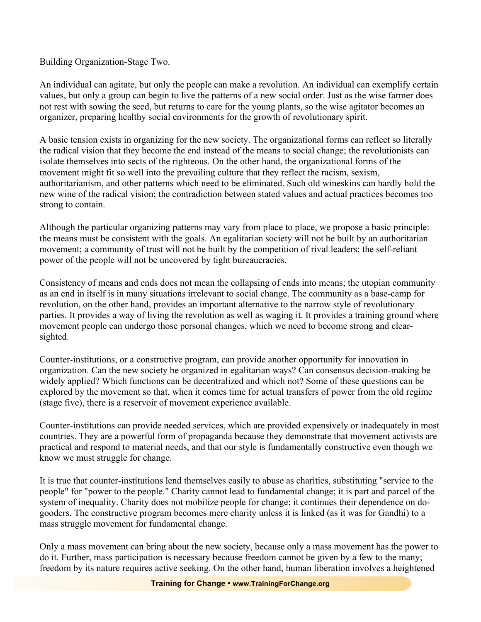#### Building Organization-Stage Two.

An individual can agitate, but only the people can make a revolution. An individual can exemplify certain values, but only a group can begin to live the patterns of a new social order. Just as the wise farmer does not rest with sowing the seed, but returns to care for the young plants, so the wise agitator becomes an organizer, preparing healthy social environments for the growth of revolutionary spirit.

A basic tension exists in organizing for the new society. The organizational forms can reflect so literally the radical vision that they become the end instead of the means to social change; the revolutionists can isolate themselves into sects of the righteous. On the other hand, the organizational forms of the movement might fit so well into the prevailing culture that they reflect the racism, sexism, authoritarianism, and other patterns which need to be eliminated. Such old wineskins can hardly hold the new wine of the radical vision; the contradiction between stated values and actual practices becomes too strong to contain.

Although the particular organizing patterns may vary from place to place, we propose a basic principle: the means must be consistent with the goals. An egalitarian society will not be built by an authoritarian movement; a community of trust will not be built by the competition of rival leaders; the self-reliant power of the people will not be uncovered by tight bureaucracies.

Consistency of means and ends does not mean the collapsing of ends into means; the utopian community as an end in itself is in many situations irrelevant to social change. The community as a base-camp for revolution, on the other hand, provides an important alternative to the narrow style of revolutionary parties. It provides a way of living the revolution as well as waging it. It provides a training ground where movement people can undergo those personal changes, which we need to become strong and clearsighted.

Counter-institutions, or a constructive program, can provide another opportunity for innovation in organization. Can the new society be organized in egalitarian ways? Can consensus decision-making be widely applied? Which functions can be decentralized and which not? Some of these questions can be explored by the movement so that, when it comes time for actual transfers of power from the old regime (stage five), there is a reservoir of movement experience available.

Counter-institutions can provide needed services, which are provided expensively or inadequately in most countries. They are a powerful form of propaganda because they demonstrate that movement activists are practical and respond to material needs, and that our style is fundamentally constructive even though we know we must struggle for change.

It is true that counter-institutions lend themselves easily to abuse as charities, substituting "service to the people" for "power to the people." Charity cannot lead to fundamental change; it is part and parcel of the system of inequality. Charity does not mobilize people for change; it continues their dependence on dogooders. The constructive program becomes mere charity unless it is linked (as it was for Gandhi) to a mass struggle movement for fundamental change.

Only a mass movement can bring about the new society, because only a mass movement has the power to do it. Further, mass participation is necessary because freedom cannot be given by a few to the many; freedom by its nature requires active seeking. On the other hand, human liberation involves a heightened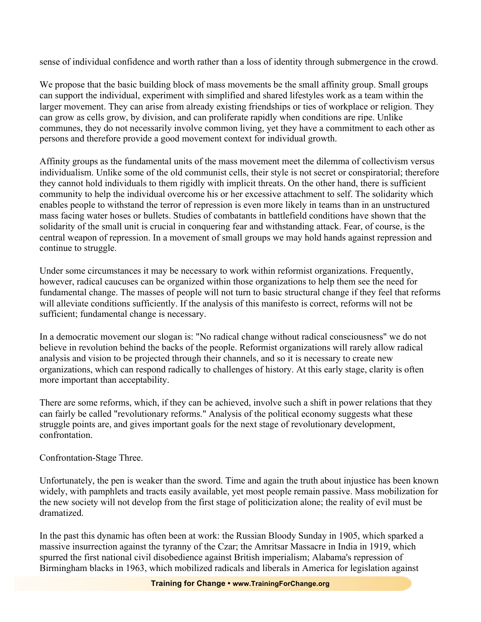sense of individual confidence and worth rather than a loss of identity through submergence in the crowd.

We propose that the basic building block of mass movements be the small affinity group. Small groups can support the individual, experiment with simplified and shared lifestyles work as a team within the larger movement. They can arise from already existing friendships or ties of workplace or religion. They can grow as cells grow, by division, and can proliferate rapidly when conditions are ripe. Unlike communes, they do not necessarily involve common living, yet they have a commitment to each other as persons and therefore provide a good movement context for individual growth.

Affinity groups as the fundamental units of the mass movement meet the dilemma of collectivism versus individualism. Unlike some of the old communist cells, their style is not secret or conspiratorial; therefore they cannot hold individuals to them rigidly with implicit threats. On the other hand, there is sufficient community to help the individual overcome his or her excessive attachment to self. The solidarity which enables people to withstand the terror of repression is even more likely in teams than in an unstructured mass facing water hoses or bullets. Studies of combatants in battlefield conditions have shown that the solidarity of the small unit is crucial in conquering fear and withstanding attack. Fear, of course, is the central weapon of repression. In a movement of small groups we may hold hands against repression and continue to struggle.

Under some circumstances it may be necessary to work within reformist organizations. Frequently, however, radical caucuses can be organized within those organizations to help them see the need for fundamental change. The masses of people will not turn to basic structural change if they feel that reforms will alleviate conditions sufficiently. If the analysis of this manifesto is correct, reforms will not be sufficient; fundamental change is necessary.

In a democratic movement our slogan is: "No radical change without radical consciousness" we do not believe in revolution behind the backs of the people. Reformist organizations will rarely allow radical analysis and vision to be projected through their channels, and so it is necessary to create new organizations, which can respond radically to challenges of history. At this early stage, clarity is often more important than acceptability.

There are some reforms, which, if they can be achieved, involve such a shift in power relations that they can fairly be called "revolutionary reforms." Analysis of the political economy suggests what these struggle points are, and gives important goals for the next stage of revolutionary development, confrontation.

#### Confrontation-Stage Three.

Unfortunately, the pen is weaker than the sword. Time and again the truth about injustice has been known widely, with pamphlets and tracts easily available, yet most people remain passive. Mass mobilization for the new society will not develop from the first stage of politicization alone; the reality of evil must be dramatized.

In the past this dynamic has often been at work: the Russian Bloody Sunday in 1905, which sparked a massive insurrection against the tyranny of the Czar; the Amritsar Massacre in India in 1919, which spurred the first national civil disobedience against British imperialism; Alabama's repression of Birmingham blacks in 1963, which mobilized radicals and liberals in America for legislation against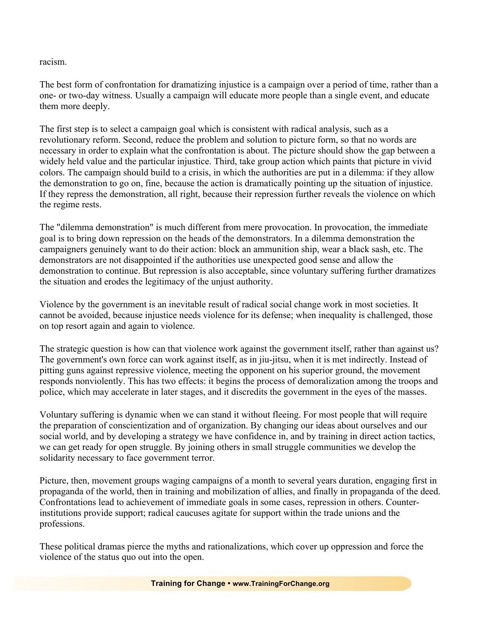racism.

The best form of confrontation for dramatizing injustice is a campaign over a period of time, rather than a one- or two-day witness. Usually a campaign will educate more people than a single event, and educate them more deeply.

The first step is to select a campaign goal which is consistent with radical analysis, such as a revolutionary reform. Second, reduce the problem and solution to picture form, so that no words are necessary in order to explain what the confrontation is about. The picture should show the gap between a widely held value and the particular injustice. Third, take group action which paints that picture in vivid colors. The campaign should build to a crisis, in which the authorities are put in a dilemma: if they allow the demonstration to go on, fine, because the action is dramatically pointing up the situation of injustice. If they repress the demonstration, all right, because their repression further reveals the violence on which the regime rests.

The "dilemma demonstration" is much different from mere provocation. In provocation, the immediate goal is to bring down repression on the heads of the demonstrators. In a dilemma demonstration the campaigners genuinely want to do their action: block an ammunition ship, wear a black sash, etc. The demonstrators are not disappointed if the authorities use unexpected good sense and allow the demonstration to continue. But repression is also acceptable, since voluntary suffering further dramatizes the situation and erodes the legitimacy of the unjust authority.

Violence by the government is an inevitable result of radical social change work in most societies. It cannot be avoided, because injustice needs violence for its defense; when inequality is challenged, those on top resort again and again to violence.

The strategic question is how can that violence work against the government itself, rather than against us? The government's own force can work against itself, as in jiu-jitsu, when it is met indirectly. Instead of pitting guns against repressive violence, meeting the opponent on his superior ground, the movement responds nonviolently. This has two effects: it begins the process of demoralization among the troops and police, which may accelerate in later stages, and it discredits the government in the eyes of the masses.

Voluntary suffering is dynamic when we can stand it without fleeing. For most people that will require the preparation of conscientization and of organization. By changing our ideas about ourselves and our social world, and by developing a strategy we have confidence in, and by training in direct action tactics, we can get ready for open struggle. By joining others in small struggle communities we develop the solidarity necessary to face government terror.

Picture, then, movement groups waging campaigns of a month to several years duration, engaging first in propaganda of the world, then in training and mobilization of allies, and finally in propaganda of the deed. Confrontations lead to achievement of immediate goals in some cases, repression in others. Counterinstitutions provide support; radical caucuses agitate for support within the trade unions and the professions.

These political dramas pierce the myths and rationalizations, which cover up oppression and force the violence of the status quo out into the open.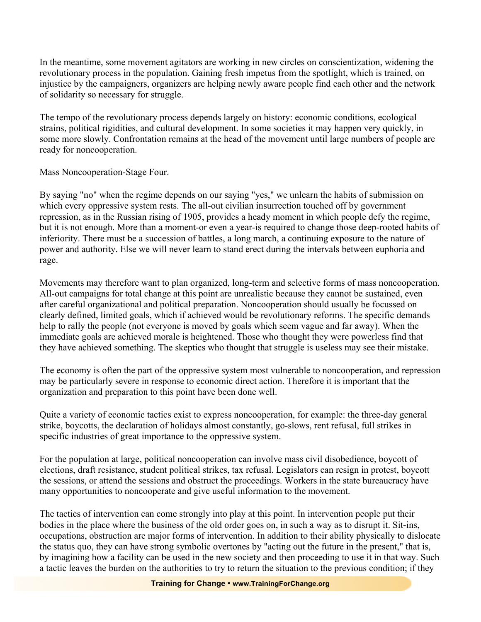In the meantime, some movement agitators are working in new circles on conscientization, widening the revolutionary process in the population. Gaining fresh impetus from the spotlight, which is trained, on injustice by the campaigners, organizers are helping newly aware people find each other and the network of solidarity so necessary for struggle.

The tempo of the revolutionary process depends largely on history: economic conditions, ecological strains, political rigidities, and cultural development. In some societies it may happen very quickly, in some more slowly. Confrontation remains at the head of the movement until large numbers of people are ready for noncooperation.

Mass Noncooperation-Stage Four.

By saying "no" when the regime depends on our saying "yes," we unlearn the habits of submission on which every oppressive system rests. The all-out civilian insurrection touched off by government repression, as in the Russian rising of 1905, provides a heady moment in which people defy the regime, but it is not enough. More than a moment-or even a year-is required to change those deep-rooted habits of inferiority. There must be a succession of battles, a long march, a continuing exposure to the nature of power and authority. Else we will never learn to stand erect during the intervals between euphoria and rage.

Movements may therefore want to plan organized, long-term and selective forms of mass noncooperation. All-out campaigns for total change at this point are unrealistic because they cannot be sustained, even after careful organizational and political preparation. Noncooperation should usually be focussed on clearly defined, limited goals, which if achieved would be revolutionary reforms. The specific demands help to rally the people (not everyone is moved by goals which seem vague and far away). When the immediate goals are achieved morale is heightened. Those who thought they were powerless find that they have achieved something. The skeptics who thought that struggle is useless may see their mistake.

The economy is often the part of the oppressive system most vulnerable to noncooperation, and repression may be particularly severe in response to economic direct action. Therefore it is important that the organization and preparation to this point have been done well.

Quite a variety of economic tactics exist to express noncooperation, for example: the three-day general strike, boycotts, the declaration of holidays almost constantly, go-slows, rent refusal, full strikes in specific industries of great importance to the oppressive system.

For the population at large, political noncooperation can involve mass civil disobedience, boycott of elections, draft resistance, student political strikes, tax refusal. Legislators can resign in protest, boycott the sessions, or attend the sessions and obstruct the proceedings. Workers in the state bureaucracy have many opportunities to noncooperate and give useful information to the movement.

The tactics of intervention can come strongly into play at this point. In intervention people put their bodies in the place where the business of the old order goes on, in such a way as to disrupt it. Sit-ins, occupations, obstruction are major forms of intervention. In addition to their ability physically to dislocate the status quo, they can have strong symbolic overtones by "acting out the future in the present," that is, by imagining how a facility can be used in the new society and then proceeding to use it in that way. Such a tactic leaves the burden on the authorities to try to return the situation to the previous condition; if they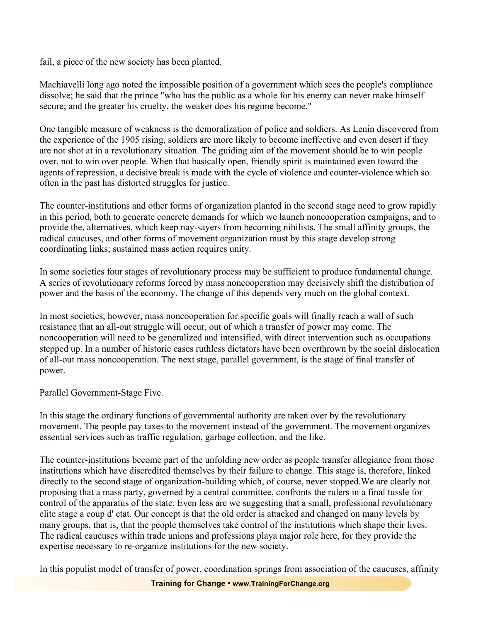fail, a piece of the new society has been planted.

Machiavelli long ago noted the impossible position of a government which sees the people's compliance dissolve; he said that the prince "who has the public as a whole for his enemy can never make himself secure; and the greater his cruelty, the weaker does his regime become."

One tangible measure of weakness is the demoralization of police and soldiers. As Lenin discovered from the experience of the 1905 rising, soldiers are more likely to become ineffective and even desert if they are not shot at in a revolutionary situation. The guiding aim of the movement should be to win people over, not to win over people. When that basically open, friendly spirit is maintained even toward the agents of repression, a decisive break is made with the cycle of violence and counter-violence which so often in the past has distorted struggles for justice.

The counter-institutions and other forms of organization planted in the second stage need to grow rapidly in this period, both to generate concrete demands for which we launch noncooperation campaigns, and to provide the, alternatives, which keep nay-sayers from becoming nihilists. The small affinity groups, the radical caucuses, and other forms of movement organization must by this stage develop strong coordinating links; sustained mass action requires unity.

In some societies four stages of revolutionary process may be sufficient to produce fundamental change. A series of revolutionary reforms forced by mass noncooperation may decisively shift the distribution of power and the basis of the economy. The change of this depends very much on the global context.

In most societies, however, mass noncooperation for specific goals will finally reach a wall of such resistance that an all-out struggle will occur, out of which a transfer of power may come. The noncooperation will need to be generalized and intensified, with direct intervention such as occupations stepped up. In a number of historic cases ruthless dictators have been overthrown by the social dislocation of all-out mass noncooperation. The next stage, parallel government, is the stage of final transfer of power.

Parallel Government-Stage Five.

In this stage the ordinary functions of governmental authority are taken over by the revolutionary movement. The people pay taxes to the movement instead of the government. The movement organizes essential services such as traffic regulation, garbage collection, and the like.

The counter-institutions become part of the unfolding new order as people transfer allegiance from those institutions which have discredited themselves by their failure to change. This stage is, therefore, linked directly to the second stage of organization-building which, of course, never stopped.We are clearly not proposing that a mass party, governed by a central committee, confronts the rulers in a final tussle for control of the apparatus of the state. Even less are we suggesting that a small, professional revolutionary elite stage a coup d' etat. Our concept is that the old order is attacked and changed on many levels by many groups, that is, that the people themselves take control of the institutions which shape their lives. The radical caucuses within trade unions and professions playa major role here, for they provide the expertise necessary to re-organize institutions for the new society.

In this populist model of transfer of power, coordination springs from association of the caucuses, affinity

**Training for Change • www.TrainingForChange.org**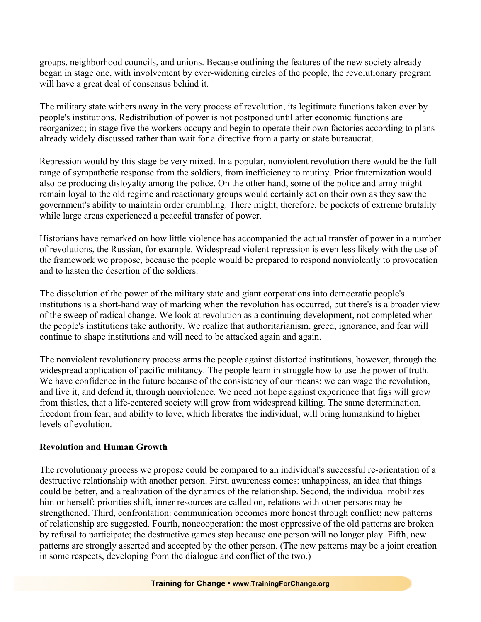groups, neighborhood councils, and unions. Because outlining the features of the new society already began in stage one, with involvement by ever-widening circles of the people, the revolutionary program will have a great deal of consensus behind it.

The military state withers away in the very process of revolution, its legitimate functions taken over by people's institutions. Redistribution of power is not postponed until after economic functions are reorganized; in stage five the workers occupy and begin to operate their own factories according to plans already widely discussed rather than wait for a directive from a party or state bureaucrat.

Repression would by this stage be very mixed. In a popular, nonviolent revolution there would be the full range of sympathetic response from the soldiers, from inefficiency to mutiny. Prior fraternization would also be producing disloyalty among the police. On the other hand, some of the police and army might remain loyal to the old regime and reactionary groups would certainly act on their own as they saw the government's ability to maintain order crumbling. There might, therefore, be pockets of extreme brutality while large areas experienced a peaceful transfer of power.

Historians have remarked on how little violence has accompanied the actual transfer of power in a number of revolutions, the Russian, for example. Widespread violent repression is even less likely with the use of the framework we propose, because the people would be prepared to respond nonviolently to provocation and to hasten the desertion of the soldiers.

The dissolution of the power of the military state and giant corporations into democratic people's institutions is a short-hand way of marking when the revolution has occurred, but there's is a broader view of the sweep of radical change. We look at revolution as a continuing development, not completed when the people's institutions take authority. We realize that authoritarianism, greed, ignorance, and fear will continue to shape institutions and will need to be attacked again and again.

The nonviolent revolutionary process arms the people against distorted institutions, however, through the widespread application of pacific militancy. The people learn in struggle how to use the power of truth. We have confidence in the future because of the consistency of our means: we can wage the revolution, and live it, and defend it, through nonviolence. We need not hope against experience that figs will grow from thistles, that a life-centered society will grow from widespread killing. The same determination, freedom from fear, and ability to love, which liberates the individual, will bring humankind to higher levels of evolution.

#### **Revolution and Human Growth**

The revolutionary process we propose could be compared to an individual's successful re-orientation of a destructive relationship with another person. First, awareness comes: unhappiness, an idea that things could be better, and a realization of the dynamics of the relationship. Second, the individual mobilizes him or herself: priorities shift, inner resources are called on, relations with other persons may be strengthened. Third, confrontation: communication becomes more honest through conflict; new patterns of relationship are suggested. Fourth, noncooperation: the most oppressive of the old patterns are broken by refusal to participate; the destructive games stop because one person will no longer play. Fifth, new patterns are strongly asserted and accepted by the other person. (The new patterns may be a joint creation in some respects, developing from the dialogue and conflict of the two.)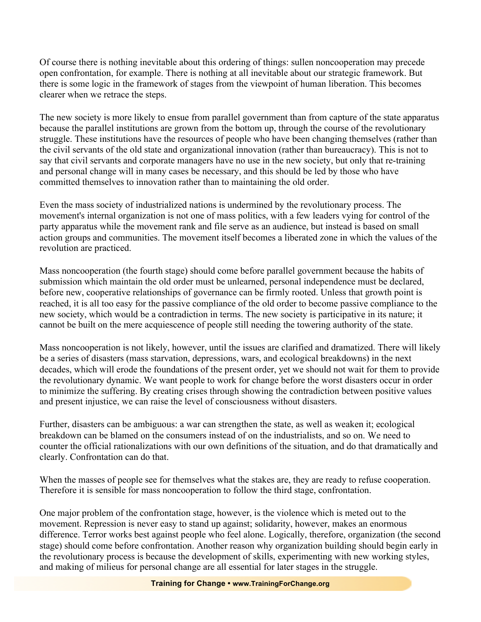Of course there is nothing inevitable about this ordering of things: sullen noncooperation may precede open confrontation, for example. There is nothing at all inevitable about our strategic framework. But there is some logic in the framework of stages from the viewpoint of human liberation. This becomes clearer when we retrace the steps.

The new society is more likely to ensue from parallel government than from capture of the state apparatus because the parallel institutions are grown from the bottom up, through the course of the revolutionary struggle. These institutions have the resources of people who have been changing themselves (rather than the civil servants of the old state and organizational innovation (rather than bureaucracy). This is not to say that civil servants and corporate managers have no use in the new society, but only that re-training and personal change will in many cases be necessary, and this should be led by those who have committed themselves to innovation rather than to maintaining the old order.

Even the mass society of industrialized nations is undermined by the revolutionary process. The movement's internal organization is not one of mass politics, with a few leaders vying for control of the party apparatus while the movement rank and file serve as an audience, but instead is based on small action groups and communities. The movement itself becomes a liberated zone in which the values of the revolution are practiced.

Mass noncooperation (the fourth stage) should come before parallel government because the habits of submission which maintain the old order must be unlearned, personal independence must be declared, before new, cooperative relationships of governance can be firmly rooted. Unless that growth point is reached, it is all too easy for the passive compliance of the old order to become passive compliance to the new society, which would be a contradiction in terms. The new society is participative in its nature; it cannot be built on the mere acquiescence of people still needing the towering authority of the state.

Mass noncooperation is not likely, however, until the issues are clarified and dramatized. There will likely be a series of disasters (mass starvation, depressions, wars, and ecological breakdowns) in the next decades, which will erode the foundations of the present order, yet we should not wait for them to provide the revolutionary dynamic. We want people to work for change before the worst disasters occur in order to minimize the suffering. By creating crises through showing the contradiction between positive values and present injustice, we can raise the level of consciousness without disasters.

Further, disasters can be ambiguous: a war can strengthen the state, as well as weaken it; ecological breakdown can be blamed on the consumers instead of on the industrialists, and so on. We need to counter the official rationalizations with our own definitions of the situation, and do that dramatically and clearly. Confrontation can do that.

When the masses of people see for themselves what the stakes are, they are ready to refuse cooperation. Therefore it is sensible for mass noncooperation to follow the third stage, confrontation.

One major problem of the confrontation stage, however, is the violence which is meted out to the movement. Repression is never easy to stand up against; solidarity, however, makes an enormous difference. Terror works best against people who feel alone. Logically, therefore, organization (the second stage) should come before confrontation. Another reason why organization building should begin early in the revolutionary process is because the development of skills, experimenting with new working styles, and making of milieus for personal change are all essential for later stages in the struggle.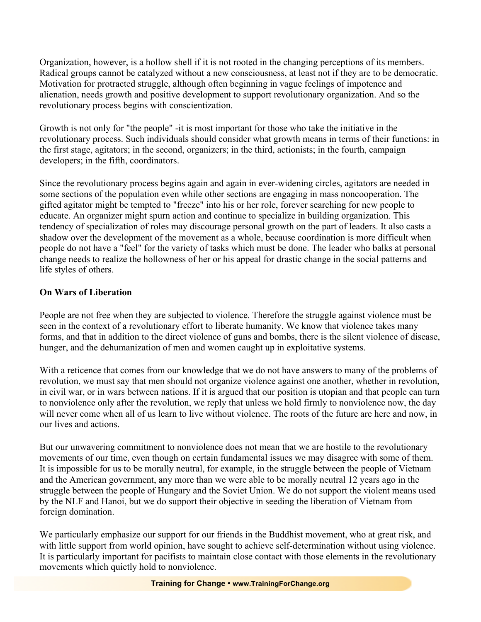Organization, however, is a hollow shell if it is not rooted in the changing perceptions of its members. Radical groups cannot be catalyzed without a new consciousness, at least not if they are to be democratic. Motivation for protracted struggle, although often beginning in vague feelings of impotence and alienation, needs growth and positive development to support revolutionary organization. And so the revolutionary process begins with conscientization.

Growth is not only for "the people" -it is most important for those who take the initiative in the revolutionary process. Such individuals should consider what growth means in terms of their functions: in the first stage, agitators; in the second, organizers; in the third, actionists; in the fourth, campaign developers; in the fifth, coordinators.

Since the revolutionary process begins again and again in ever-widening circles, agitators are needed in some sections of the population even while other sections are engaging in mass noncooperation. The gifted agitator might be tempted to "freeze" into his or her role, forever searching for new people to educate. An organizer might spurn action and continue to specialize in building organization. This tendency of specialization of roles may discourage personal growth on the part of leaders. It also casts a shadow over the development of the movement as a whole, because coordination is more difficult when people do not have a "feel" for the variety of tasks which must be done. The leader who balks at personal change needs to realize the hollowness of her or his appeal for drastic change in the social patterns and life styles of others.

## **On Wars of Liberation**

People are not free when they are subjected to violence. Therefore the struggle against violence must be seen in the context of a revolutionary effort to liberate humanity. We know that violence takes many forms, and that in addition to the direct violence of guns and bombs, there is the silent violence of disease, hunger, and the dehumanization of men and women caught up in exploitative systems.

With a reticence that comes from our knowledge that we do not have answers to many of the problems of revolution, we must say that men should not organize violence against one another, whether in revolution, in civil war, or in wars between nations. If it is argued that our position is utopian and that people can turn to nonviolence only after the revolution, we reply that unless we hold firmly to nonviolence now, the day will never come when all of us learn to live without violence. The roots of the future are here and now, in our lives and actions.

But our unwavering commitment to nonviolence does not mean that we are hostile to the revolutionary movements of our time, even though on certain fundamental issues we may disagree with some of them. It is impossible for us to be morally neutral, for example, in the struggle between the people of Vietnam and the American government, any more than we were able to be morally neutral 12 years ago in the struggle between the people of Hungary and the Soviet Union. We do not support the violent means used by the NLF and Hanoi, but we do support their objective in seeding the liberation of Vietnam from foreign domination.

We particularly emphasize our support for our friends in the Buddhist movement, who at great risk, and with little support from world opinion, have sought to achieve self-determination without using violence. It is particularly important for pacifists to maintain close contact with those elements in the revolutionary movements which quietly hold to nonviolence.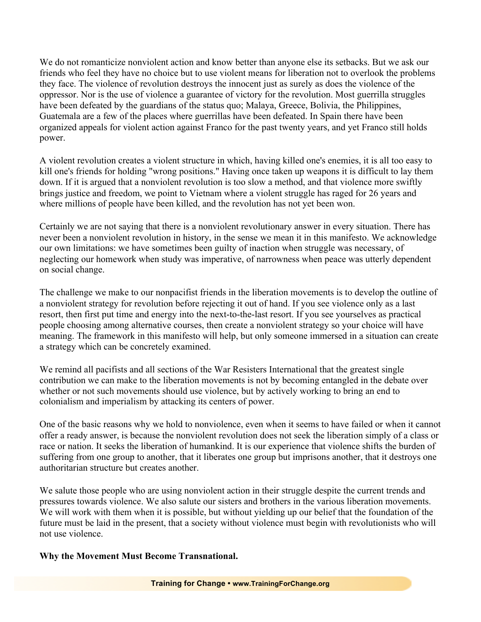We do not romanticize nonviolent action and know better than anyone else its setbacks. But we ask our friends who feel they have no choice but to use violent means for liberation not to overlook the problems they face. The violence of revolution destroys the innocent just as surely as does the violence of the oppressor. Nor is the use of violence a guarantee of victory for the revolution. Most guerrilla struggles have been defeated by the guardians of the status quo; Malaya, Greece, Bolivia, the Philippines, Guatemala are a few of the places where guerrillas have been defeated. In Spain there have been organized appeals for violent action against Franco for the past twenty years, and yet Franco still holds power.

A violent revolution creates a violent structure in which, having killed one's enemies, it is all too easy to kill one's friends for holding "wrong positions." Having once taken up weapons it is difficult to lay them down. If it is argued that a nonviolent revolution is too slow a method, and that violence more swiftly brings justice and freedom, we point to Vietnam where a violent struggle has raged for 26 years and where millions of people have been killed, and the revolution has not yet been won.

Certainly we are not saying that there is a nonviolent revolutionary answer in every situation. There has never been a nonviolent revolution in history, in the sense we mean it in this manifesto. We acknowledge our own limitations: we have sometimes been guilty of inaction when struggle was necessary, of neglecting our homework when study was imperative, of narrowness when peace was utterly dependent on social change.

The challenge we make to our nonpacifist friends in the liberation movements is to develop the outline of a nonviolent strategy for revolution before rejecting it out of hand. If you see violence only as a last resort, then first put time and energy into the next-to-the-last resort. If you see yourselves as practical people choosing among alternative courses, then create a nonviolent strategy so your choice will have meaning. The framework in this manifesto will help, but only someone immersed in a situation can create a strategy which can be concretely examined.

We remind all pacifists and all sections of the War Resisters International that the greatest single contribution we can make to the liberation movements is not by becoming entangled in the debate over whether or not such movements should use violence, but by actively working to bring an end to colonialism and imperialism by attacking its centers of power.

One of the basic reasons why we hold to nonviolence, even when it seems to have failed or when it cannot offer a ready answer, is because the nonviolent revolution does not seek the liberation simply of a class or race or nation. It seeks the liberation of humankind. It is our experience that violence shifts the burden of suffering from one group to another, that it liberates one group but imprisons another, that it destroys one authoritarian structure but creates another.

We salute those people who are using nonviolent action in their struggle despite the current trends and pressures towards violence. We also salute our sisters and brothers in the various liberation movements. We will work with them when it is possible, but without yielding up our belief that the foundation of the future must be laid in the present, that a society without violence must begin with revolutionists who will not use violence.

#### **Why the Movement Must Become Transnational.**